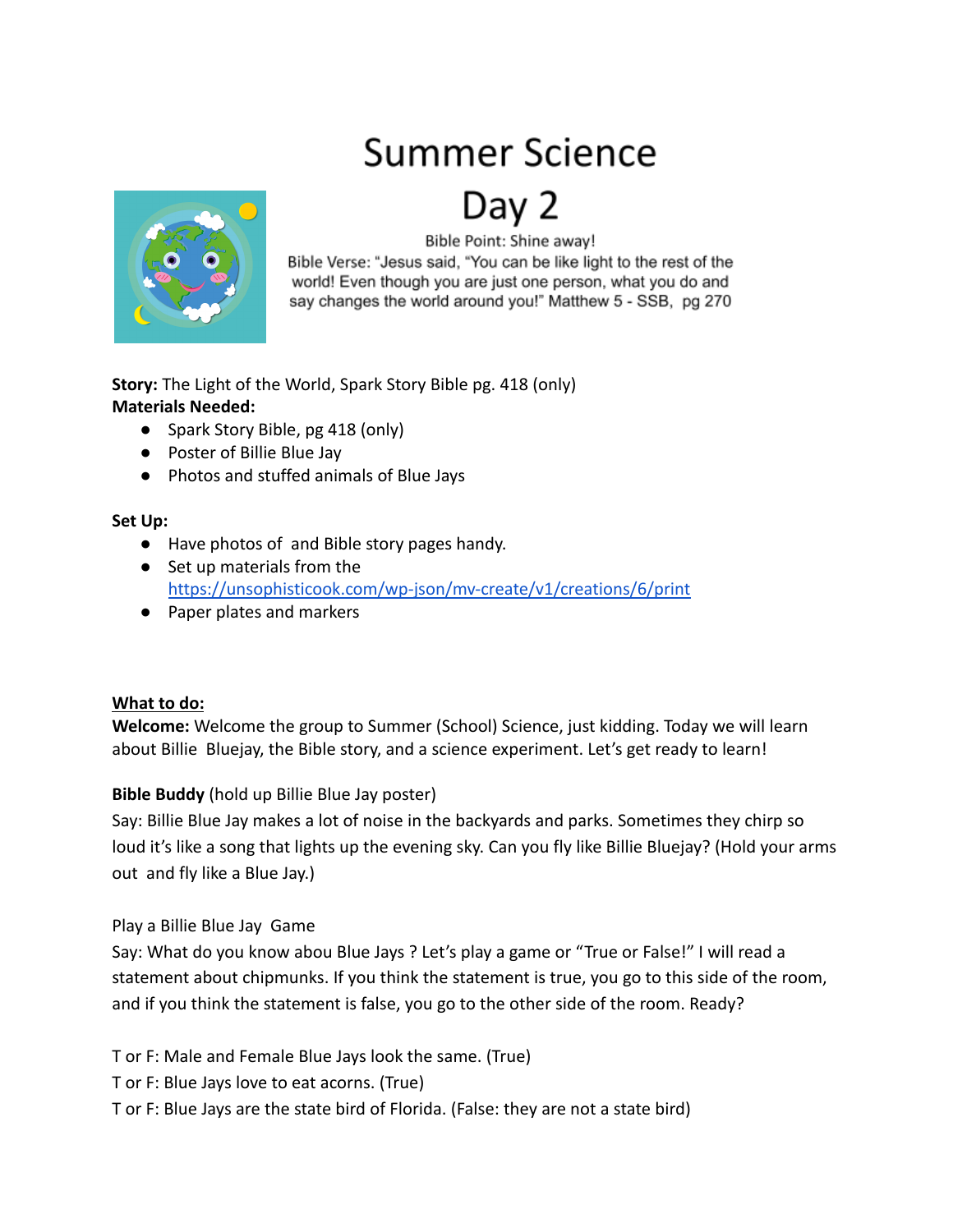# **Summer Science**

## Day



Bible Point: Shine away!

Bible Verse: "Jesus said, "You can be like light to the rest of the world! Even though you are just one person, what you do and say changes the world around you!" Matthew 5 - SSB, pg 270

**Story:** The Light of the World, Spark Story Bible pg. 418 (only) **Materials Needed:**

- Spark Story Bible, pg 418 (only)
- Poster of Billie Blue Jay
- Photos and stuffed animals of Blue Jays

## **Set Up:**

- Have photos of and Bible story pages handy.
- Set up materials from the <https://unsophisticook.com/wp-json/mv-create/v1/creations/6/print>
- Paper plates and markers

## **What to do:**

**Welcome:** Welcome the group to Summer (School) Science, just kidding. Today we will learn about Billie Bluejay, the Bible story, and a science experiment. Let's get ready to learn!

## **Bible Buddy** (hold up Billie Blue Jay poster)

Say: Billie Blue Jay makes a lot of noise in the backyards and parks. Sometimes they chirp so loud it's like a song that lights up the evening sky. Can you fly like Billie Bluejay? (Hold your arms out and fly like a Blue Jay.)

## Play a Billie Blue Jay Game

Say: What do you know abou Blue Jays ? Let's play a game or "True or False!" I will read a statement about chipmunks. If you think the statement is true, you go to this side of the room, and if you think the statement is false, you go to the other side of the room. Ready?

T or F: Male and Female Blue Jays look the same. (True)

T or F: Blue Jays love to eat acorns. (True)

T or F: Blue Jays are the state bird of Florida. (False: they are not a state bird)